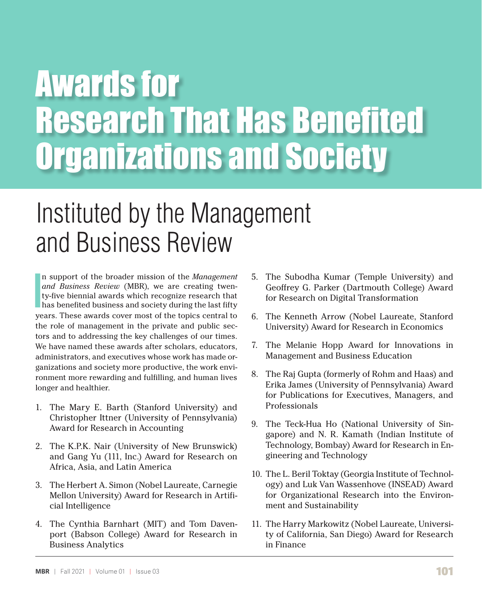## Awards for Research That Has Benefited Organizations and Society

## Instituted by the Management and Business Review

I n support of the broader mission of the *Management and Business Review* (MBR), we are creating twenty-five biennial awards which recognize research that has benefited business and society during the last fifty years. These awards cover most of the topics central to the role of management in the private and public sectors and to addressing the key challenges of our times. We have named these awards after scholars, educators, administrators, and executives whose work has made organizations and society more productive, the work environment more rewarding and fulfilling, and human lives longer and healthier.

- 1. The Mary E. Barth (Stanford University) and Christopher Ittner (University of Pennsylvania) Award for Research in Accounting
- 2. The K.P.K. Nair (University of New Brunswick) and Gang Yu (111, Inc.) Award for Research on Africa, Asia, and Latin America
- 3. The Herbert A. Simon (Nobel Laureate, Carnegie Mellon University) Award for Research in Artificial Intelligence
- 4. The Cynthia Barnhart (MIT) and Tom Davenport (Babson College) Award for Research in Business Analytics
- 5. The Subodha Kumar (Temple University) and Geoffrey G. Parker (Dartmouth College) Award for Research on Digital Transformation
- 6. The Kenneth Arrow (Nobel Laureate, Stanford University) Award for Research in Economics
- 7. The Melanie Hopp Award for Innovations in Management and Business Education
- 8. The Raj Gupta (formerly of Rohm and Haas) and Erika James (University of Pennsylvania) Award for Publications for Executives, Managers, and Professionals
- 9. The Teck-Hua Ho (National University of Singapore) and N. R. Kamath (Indian Institute of Technology, Bombay) Award for Research in Engineering and Technology
- 10. The L. Beril Toktay (Georgia Institute of Technology) and Luk Van Wassenhove (INSEAD) Award for Organizational Research into the Environment and Sustainability
- 11. The Harry Markowitz (Nobel Laureate, University of California, San Diego) Award for Research in Finance